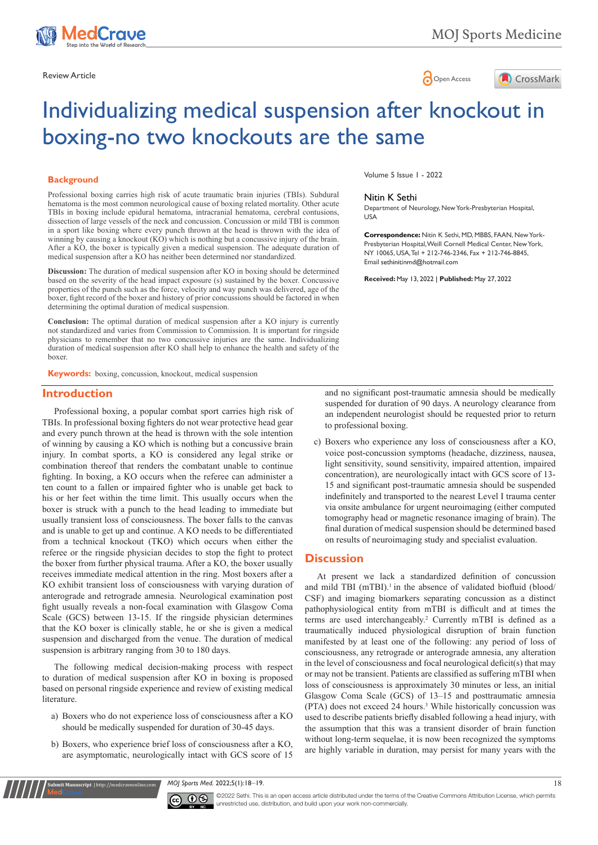



# Individualizing medical suspension after knockout in boxing-no two knockouts are the same

### **Background**

Professional boxing carries high risk of acute traumatic brain injuries (TBIs). Subdural hematoma is the most common neurological cause of boxing related mortality. Other acute TBIs in boxing include epidural hematoma, intracranial hematoma, cerebral contusions, dissection of large vessels of the neck and concussion. Concussion or mild TBI is common in a sport like boxing where every punch thrown at the head is thrown with the idea of winning by causing a knockout (KO) which is nothing but a concussive injury of the brain. After a KO, the boxer is typically given a medical suspension. The adequate duration of medical suspension after a KO has neither been determined nor standardized.

**Discussion:** The duration of medical suspension after KO in boxing should be determined based on the severity of the head impact exposure (s) sustained by the boxer. Concussive properties of the punch such as the force, velocity and way punch was delivered, age of the boxer, fight record of the boxer and history of prior concussions should be factored in when determining the optimal duration of medical suspension.

**Conclusion:** The optimal duration of medical suspension after a KO injury is currently not standardized and varies from Commission to Commission. It is important for ringside physicians to remember that no two concussive injuries are the same. Individualizing duration of medical suspension after KO shall help to enhance the health and safety of the boxer.

**Keywords:** boxing, concussion, knockout, medical suspension

# **Introduction**

Professional boxing, a popular combat sport carries high risk of TBIs. In professional boxing fighters do not wear protective head gear and every punch thrown at the head is thrown with the sole intention of winning by causing a KO which is nothing but a concussive brain injury. In combat sports, a KO is considered any legal strike or combination thereof that renders the combatant unable to continue fighting. In boxing, a KO occurs when the referee can administer a ten count to a fallen or impaired fighter who is unable get back to his or her feet within the time limit. This usually occurs when the boxer is struck with a punch to the head leading to immediate but usually transient loss of consciousness. The boxer falls to the canvas and is unable to get up and continue. A KO needs to be differentiated from a technical knockout (TKO) which occurs when either the referee or the ringside physician decides to stop the fight to protect the boxer from further physical trauma. After a KO, the boxer usually receives immediate medical attention in the ring. Most boxers after a KO exhibit transient loss of consciousness with varying duration of anterograde and retrograde amnesia. Neurological examination post fight usually reveals a non-focal examination with Glasgow Coma Scale (GCS) between 13-15. If the ringside physician determines that the KO boxer is clinically stable, he or she is given a medical suspension and discharged from the venue. The duration of medical suspension is arbitrary ranging from 30 to 180 days.

The following medical decision-making process with respect to duration of medical suspension after KO in boxing is proposed based on personal ringside experience and review of existing medical literature.

- a) Boxers who do not experience loss of consciousness after a KO should be medically suspended for duration of 30-45 days.
- b) Boxers, who experience brief loss of consciousness after a KO, are asymptomatic, neurologically intact with GCS score of 15

**Submit Manuscript** | http://medcraveonline.com

Volume 5 Issue 1 - 2022

#### Nitin K Sethi

Department of Neurology, New York-Presbyterian Hospital, USA

**Correspondence:** Nitin K Sethi, MD, MBBS, FAAN, New York-Presbyterian Hospital, Weill Cornell Medical Center, New York, NY 10065, USA, Tel + 212-746-2346, Fax + 212-746-8845, Email sethinitinmd@hotmail.com

**Received:** May 13, 2022 | **Published:** May 27, 2022

and no significant post-traumatic amnesia should be medically suspended for duration of 90 days. A neurology clearance from an independent neurologist should be requested prior to return to professional boxing.

c) Boxers who experience any loss of consciousness after a KO, voice post-concussion symptoms (headache, dizziness, nausea, light sensitivity, sound sensitivity, impaired attention, impaired concentration), are neurologically intact with GCS score of 13- 15 and significant post-traumatic amnesia should be suspended indefinitely and transported to the nearest Level I trauma center via onsite ambulance for urgent neuroimaging (either computed tomography head or magnetic resonance imaging of brain). The final duration of medical suspension should be determined based on results of neuroimaging study and specialist evaluation.

# **Discussion**

At present we lack a standardized definition of concussion and mild TBI  $(mTBI)$ .<sup>1</sup> in the absence of validated biofluid (blood/ CSF) and imaging biomarkers separating concussion as a distinct pathophysiological entity from mTBI is difficult and at times the terms are used interchangeably.<sup>2</sup> Currently mTBI is defined as a traumatically induced physiological disruption of brain function manifested by at least one of the following: any period of loss of consciousness, any retrograde or anterograde amnesia, any alteration in the level of consciousness and focal neurological deficit(s) that may or may not be transient. Patients are classified as suffering mTBI when loss of consciousness is approximately 30 minutes or less, an initial Glasgow Coma Scale (GCS) of 13–15 and posttraumatic amnesia (PTA) does not exceed 24 hours.3 While historically concussion was used to describe patients briefly disabled following a head injury, with the assumption that this was a transient disorder of brain function without long-term sequelae, it is now been recognized the symptoms are highly variable in duration, may persist for many years with the

*MOJ Sports Med.* 2022;5(1):18‒19. 18



©2022 Sethi. This is an open access article distributed under the terms of the Creative Commons Attribution License, which permits unrestricted use, distribution, and build upon your work non-commercially.